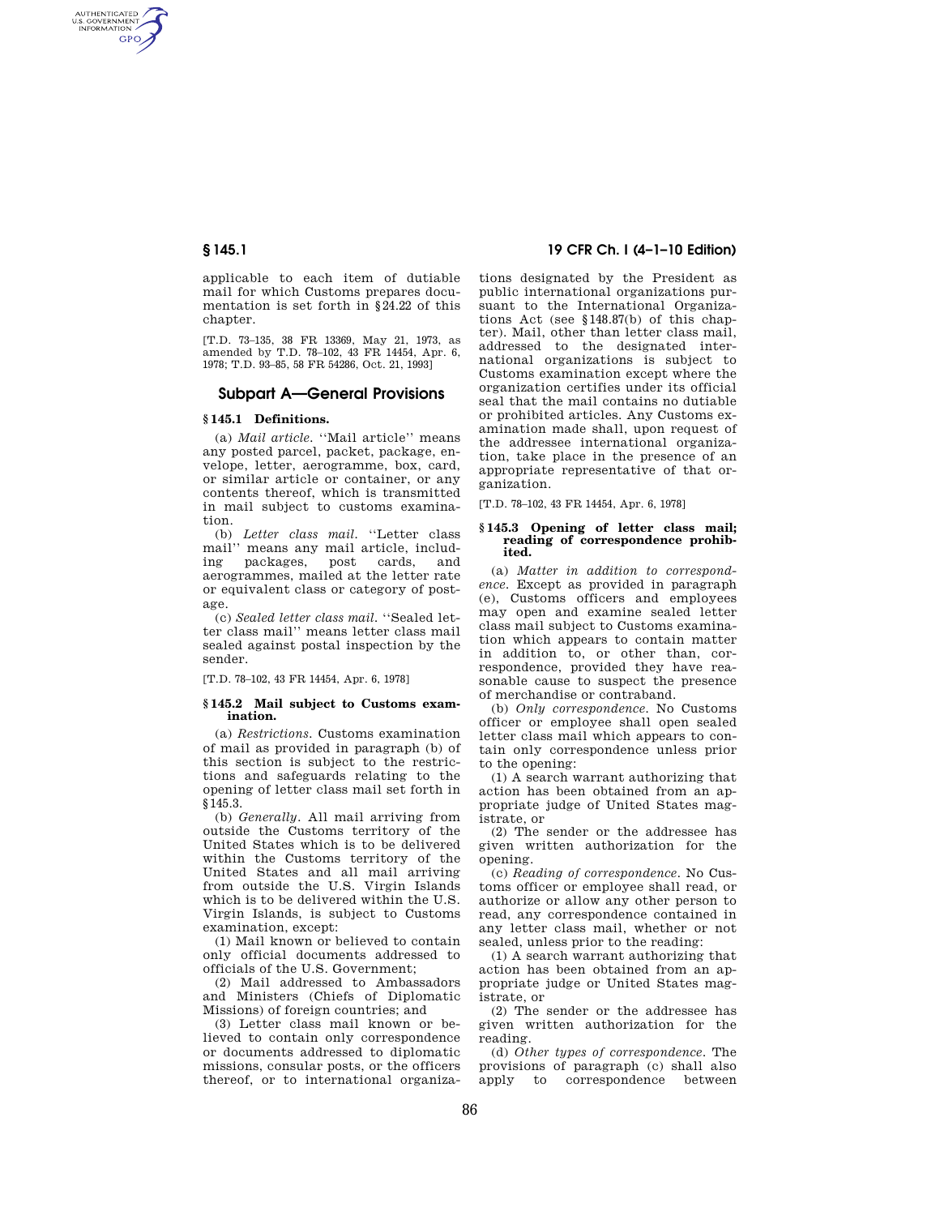AUTHENTICATED<br>U.S. GOVERNMENT<br>INFORMATION **GPO** 

> applicable to each item of dutiable mail for which Customs prepares documentation is set forth in §24.22 of this chapter.

> [T.D. 73–135, 38 FR 13369, May 21, 1973, as amended by T.D. 78–102, 43 FR 14454, Apr. 6, 1978; T.D. 93–85, 58 FR 54286, Oct. 21, 1993]

## **Subpart A—General Provisions**

# **§ 145.1 Definitions.**

(a) *Mail article.* ''Mail article'' means any posted parcel, packet, package, envelope, letter, aerogramme, box, card, or similar article or container, or any contents thereof, which is transmitted in mail subject to customs examination.

(b) *Letter class mail.* ''Letter class mail'' means any mail article, including packages, post cards, and aerogrammes, mailed at the letter rate or equivalent class or category of postage.

(c) *Sealed letter class mail.* ''Sealed letter class mail'' means letter class mail sealed against postal inspection by the sender.

[T.D. 78–102, 43 FR 14454, Apr. 6, 1978]

### **§ 145.2 Mail subject to Customs examination.**

(a) *Restrictions.* Customs examination of mail as provided in paragraph (b) of this section is subject to the restrictions and safeguards relating to the opening of letter class mail set forth in  $\sqrt{3145.3}$ .

(b) *Generally.* All mail arriving from outside the Customs territory of the United States which is to be delivered within the Customs territory of the United States and all mail arriving from outside the U.S. Virgin Islands which is to be delivered within the U.S. Virgin Islands, is subject to Customs examination, except:

(1) Mail known or believed to contain only official documents addressed to officials of the U.S. Government;

(2) Mail addressed to Ambassadors and Ministers (Chiefs of Diplomatic Missions) of foreign countries; and

(3) Letter class mail known or believed to contain only correspondence or documents addressed to diplomatic missions, consular posts, or the officers thereof, or to international organiza-

# **§ 145.1 19 CFR Ch. I (4–1–10 Edition)**

tions designated by the President as public international organizations pursuant to the International Organizations Act (see §148.87(b) of this chapter). Mail, other than letter class mail, addressed to the designated international organizations is subject to Customs examination except where the organization certifies under its official seal that the mail contains no dutiable or prohibited articles. Any Customs examination made shall, upon request of the addressee international organization, take place in the presence of an appropriate representative of that organization.

[T.D. 78-102, 43 FR 14454, Apr. 6, 1978]

#### **§ 145.3 Opening of letter class mail; reading of correspondence prohibited.**

(a) *Matter in addition to correspondence.* Except as provided in paragraph (e), Customs officers and employees may open and examine sealed letter class mail subject to Customs examination which appears to contain matter in addition to, or other than, correspondence, provided they have reasonable cause to suspect the presence of merchandise or contraband.

(b) *Only correspondence.* No Customs officer or employee shall open sealed letter class mail which appears to contain only correspondence unless prior to the opening:

(1) A search warrant authorizing that action has been obtained from an appropriate judge of United States magistrate, or

(2) The sender or the addressee has given written authorization for the opening.

(c) *Reading of correspondence.* No Customs officer or employee shall read, or authorize or allow any other person to read, any correspondence contained in any letter class mail, whether or not sealed, unless prior to the reading:

(1) A search warrant authorizing that action has been obtained from an appropriate judge or United States magistrate, or

(2) The sender or the addressee has given written authorization for the reading.

(d) *Other types of correspondence.* The provisions of paragraph (c) shall also to correspondence between